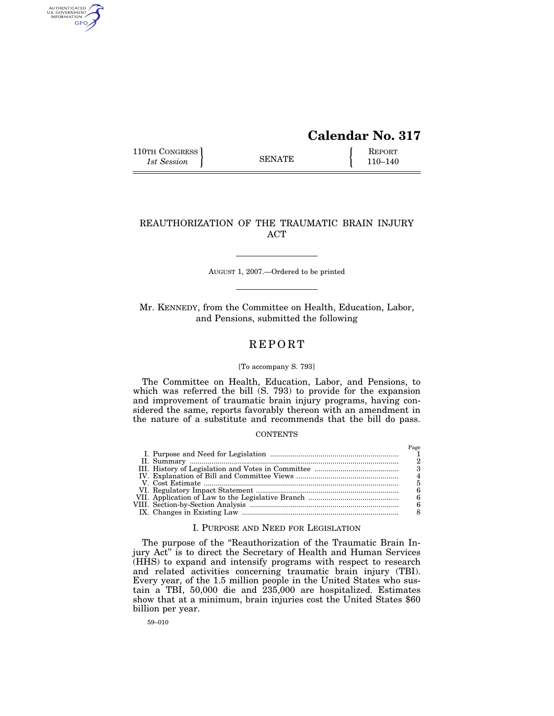# **Calendar No. 317**

110TH CONGRESS REPORT SENATE  $\left\{\begin{array}{c} \text{REPORT} \\ 110-140 \end{array}\right\}$ 1st Session **110–140 SENATE** 110–140

AUTHENTICATED<br>U.S. GOVERNMENT<br>INFORMATION GPO

## REAUTHORIZATION OF THE TRAUMATIC BRAIN INJURY ACT

AUGUST 1, 2007.—Ordered to be printed

Mr. KENNEDY, from the Committee on Health, Education, Labor, and Pensions, submitted the following

# **REPORT**

## [To accompany S. 793]

The Committee on Health, Education, Labor, and Pensions, to which was referred the bill (S. 793) to provide for the expansion and improvement of traumatic brain injury programs, having considered the same, reports favorably thereon with an amendment in the nature of a substitute and recommends that the bill do pass.

## **CONTENTS**

## I. PURPOSE AND NEED FOR LEGISLATION

The purpose of the "Reauthorization of the Traumatic Brain Injury Act'' is to direct the Secretary of Health and Human Services (HHS) to expand and intensify programs with respect to research and related activities concerning traumatic brain injury (TBI). Every year, of the 1.5 million people in the United States who sustain a TBI, 50,000 die and 235,000 are hospitalized. Estimates show that at a minimum, brain injuries cost the United States \$60 billion per year.

59–010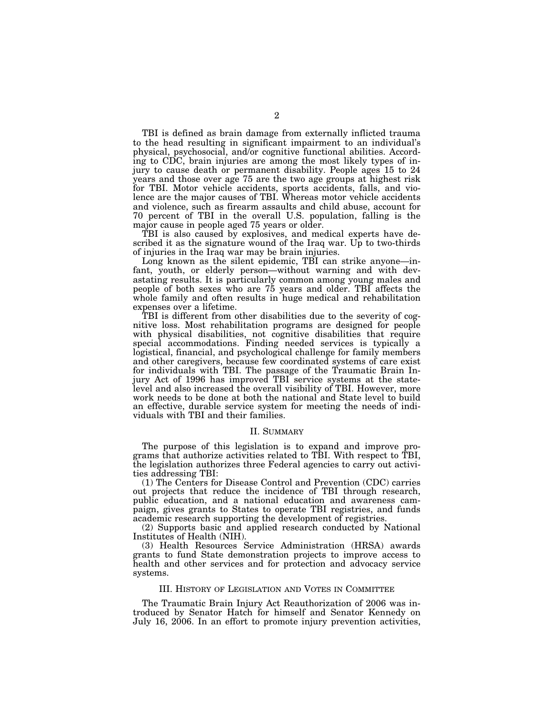TBI is defined as brain damage from externally inflicted trauma to the head resulting in significant impairment to an individual's physical, psychosocial, and/or cognitive functional abilities. According to CDC, brain injuries are among the most likely types of injury to cause death or permanent disability. People ages 15 to 24 years and those over age 75 are the two age groups at highest risk for TBI. Motor vehicle accidents, sports accidents, falls, and violence are the major causes of TBI. Whereas motor vehicle accidents and violence, such as firearm assaults and child abuse, account for 70 percent of TBI in the overall U.S. population, falling is the major cause in people aged 75 years or older.

TBI is also caused by explosives, and medical experts have described it as the signature wound of the Iraq war. Up to two-thirds of injuries in the Iraq war may be brain injuries.

Long known as the silent epidemic, TBI can strike anyone—infant, youth, or elderly person—without warning and with devastating results. It is particularly common among young males and people of both sexes who are 75 years and older. TBI affects the whole family and often results in huge medical and rehabilitation expenses over a lifetime.

TBI is different from other disabilities due to the severity of cognitive loss. Most rehabilitation programs are designed for people with physical disabilities, not cognitive disabilities that require special accommodations. Finding needed services is typically a logistical, financial, and psychological challenge for family members and other caregivers, because few coordinated systems of care exist for individuals with TBI. The passage of the Traumatic Brain Injury Act of 1996 has improved TBI service systems at the statelevel and also increased the overall visibility of TBI. However, more work needs to be done at both the national and State level to build an effective, durable service system for meeting the needs of individuals with TBI and their families.

#### II. SUMMARY

The purpose of this legislation is to expand and improve programs that authorize activities related to TBI. With respect to TBI, the legislation authorizes three Federal agencies to carry out activities addressing TBI:

(1) The Centers for Disease Control and Prevention (CDC) carries out projects that reduce the incidence of TBI through research, public education, and a national education and awareness campaign, gives grants to States to operate TBI registries, and funds academic research supporting the development of registries.

(2) Supports basic and applied research conducted by National Institutes of Health (NIH).

(3) Health Resources Service Administration (HRSA) awards grants to fund State demonstration projects to improve access to health and other services and for protection and advocacy service systems.

## III. HISTORY OF LEGISLATION AND VOTES IN COMMITTEE

The Traumatic Brain Injury Act Reauthorization of 2006 was introduced by Senator Hatch for himself and Senator Kennedy on July 16, 2006. In an effort to promote injury prevention activities,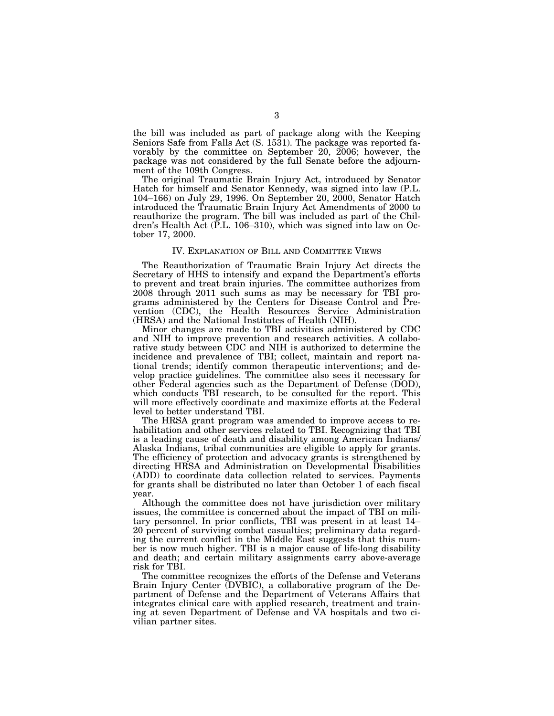the bill was included as part of package along with the Keeping Seniors Safe from Falls Act (S. 1531). The package was reported favorably by the committee on September 20, 2006; however, the package was not considered by the full Senate before the adjournment of the 109th Congress.

The original Traumatic Brain Injury Act, introduced by Senator Hatch for himself and Senator Kennedy, was signed into law (P.L. 104–166) on July 29, 1996. On September 20, 2000, Senator Hatch introduced the Traumatic Brain Injury Act Amendments of 2000 to reauthorize the program. The bill was included as part of the Children's Health Act (P.L. 106–310), which was signed into law on October 17, 2000.

### IV. EXPLANATION OF BILL AND COMMITTEE VIEWS

The Reauthorization of Traumatic Brain Injury Act directs the Secretary of HHS to intensify and expand the Department's efforts to prevent and treat brain injuries. The committee authorizes from 2008 through 2011 such sums as may be necessary for TBI programs administered by the Centers for Disease Control and Prevention (CDC), the Health Resources Service Administration (HRSA) and the National Institutes of Health (NIH).

Minor changes are made to TBI activities administered by CDC and NIH to improve prevention and research activities. A collaborative study between CDC and NIH is authorized to determine the incidence and prevalence of TBI; collect, maintain and report national trends; identify common therapeutic interventions; and develop practice guidelines. The committee also sees it necessary for other Federal agencies such as the Department of Defense (DOD), which conducts TBI research, to be consulted for the report. This will more effectively coordinate and maximize efforts at the Federal level to better understand TBI.

The HRSA grant program was amended to improve access to rehabilitation and other services related to TBI. Recognizing that TBI is a leading cause of death and disability among American Indians/ Alaska Indians, tribal communities are eligible to apply for grants. The efficiency of protection and advocacy grants is strengthened by directing HRSA and Administration on Developmental Disabilities (ADD) to coordinate data collection related to services. Payments for grants shall be distributed no later than October 1 of each fiscal year.

Although the committee does not have jurisdiction over military issues, the committee is concerned about the impact of TBI on military personnel. In prior conflicts, TBI was present in at least 14– 20 percent of surviving combat casualties; preliminary data regarding the current conflict in the Middle East suggests that this number is now much higher. TBI is a major cause of life-long disability and death; and certain military assignments carry above-average risk for TBI.

The committee recognizes the efforts of the Defense and Veterans Brain Injury Center (DVBIC), a collaborative program of the Department of Defense and the Department of Veterans Affairs that integrates clinical care with applied research, treatment and training at seven Department of Defense and VA hospitals and two civilian partner sites.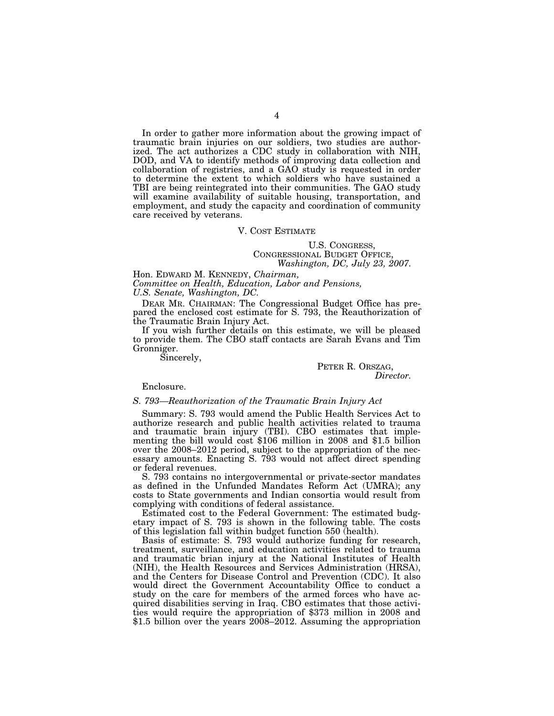In order to gather more information about the growing impact of traumatic brain injuries on our soldiers, two studies are authorized. The act authorizes a CDC study in collaboration with NIH, DOD, and VA to identify methods of improving data collection and collaboration of registries, and a GAO study is requested in order to determine the extent to which soldiers who have sustained a TBI are being reintegrated into their communities. The GAO study will examine availability of suitable housing, transportation, and employment, and study the capacity and coordination of community care received by veterans.

#### V. COST ESTIMATE

## U.S. CONGRESS, CONGRESSIONAL BUDGET OFFICE, *Washington, DC, July 23, 2007.*

Hon. EDWARD M. KENNEDY, *Chairman, Committee on Health, Education, Labor and Pensions, U.S. Senate, Washington, DC.* 

DEAR MR. CHAIRMAN: The Congressional Budget Office has prepared the enclosed cost estimate for S. 793, the Reauthorization of the Traumatic Brain Injury Act.

If you wish further details on this estimate, we will be pleased to provide them. The CBO staff contacts are Sarah Evans and Tim Gronniger.

Sincerely,

## PETER R. ORSZAG, *Director.*

Enclosure.

### *S. 793—Reauthorization of the Traumatic Brain Injury Act*

Summary: S. 793 would amend the Public Health Services Act to authorize research and public health activities related to trauma and traumatic brain injury (TBI). CBO estimates that implementing the bill would cost \$106 million in 2008 and \$1.5 billion over the 2008–2012 period, subject to the appropriation of the necessary amounts. Enacting S. 793 would not affect direct spending or federal revenues.

S. 793 contains no intergovernmental or private-sector mandates as defined in the Unfunded Mandates Reform Act (UMRA); any costs to State governments and Indian consortia would result from complying with conditions of federal assistance.

Estimated cost to the Federal Government: The estimated budgetary impact of S. 793 is shown in the following table. The costs of this legislation fall within budget function 550 (health).

Basis of estimate: S. 793 would authorize funding for research, treatment, surveillance, and education activities related to trauma and traumatic brian injury at the National Institutes of Health (NIH), the Health Resources and Services Administration (HRSA), and the Centers for Disease Control and Prevention (CDC). It also would direct the Government Accountability Office to conduct a study on the care for members of the armed forces who have acquired disabilities serving in Iraq. CBO estimates that those activities would require the appropriation of \$373 million in 2008 and \$1.5 billion over the years 2008–2012. Assuming the appropriation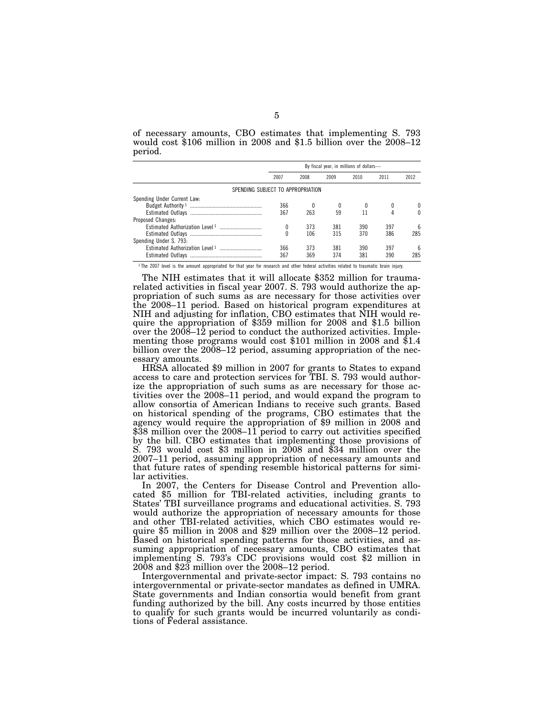|         |  | of necessary amounts, CBO estimates that implementing S. 793          |  |  |  |  |  |
|---------|--|-----------------------------------------------------------------------|--|--|--|--|--|
|         |  | would cost \$106 million in 2008 and \$1.5 billion over the $2008-12$ |  |  |  |  |  |
| period. |  |                                                                       |  |  |  |  |  |

|                                   | By fiscal year, in millions of dollars- |      |      |      |      |      |  |
|-----------------------------------|-----------------------------------------|------|------|------|------|------|--|
|                                   | 2007                                    | 2008 | 2009 | 2010 | 2011 | 2012 |  |
| SPENDING SUBJECT TO APPROPRIATION |                                         |      |      |      |      |      |  |
| Spending Under Current Law:       |                                         |      |      |      |      |      |  |
|                                   | 366                                     |      |      |      |      |      |  |
|                                   | 367                                     | 263  | 59   |      |      |      |  |
| Proposed Changes:                 |                                         |      |      |      |      |      |  |
|                                   |                                         | 373  | 381  | 390  | 397  | 6    |  |
|                                   |                                         | 106  | 315  | 370  | 386  | 285  |  |
| Spending Under S. 793:            |                                         |      |      |      |      |      |  |
|                                   | 366                                     | 373  | 381  | 390  | 397  | 6    |  |
|                                   | 367                                     | 369  | 374  | 381  | 390  | 285  |  |

1 The 2007 level is the amount appropriated for that year for research and other federal activities related to traumatic brain injury.

The NIH estimates that it will allocate \$352 million for traumarelated activities in fiscal year 2007. S. 793 would authorize the appropriation of such sums as are necessary for those activities over the 2008–11 period. Based on historical program expenditures at NIH and adjusting for inflation, CBO estimates that NIH would require the appropriation of \$359 million for 2008 and \$1.5 billion over the  $2008-12$  period to conduct the authorized activities. Implementing those programs would cost \$101 million in 2008 and \$1.4 billion over the 2008–12 period, assuming appropriation of the necessary amounts.

HRSA allocated \$9 million in 2007 for grants to States to expand access to care and protection services for TBI. S. 793 would authorize the appropriation of such sums as are necessary for those activities over the 2008–11 period, and would expand the program to allow consortia of American Indians to receive such grants. Based on historical spending of the programs, CBO estimates that the agency would require the appropriation of \$9 million in 2008 and \$38 million over the 2008–11 period to carry out activities specified by the bill. CBO estimates that implementing those provisions of S. 793 would cost \$3 million in 2008 and \$34 million over the 2007–11 period, assuming appropriation of necessary amounts and that future rates of spending resemble historical patterns for similar activities.

In 2007, the Centers for Disease Control and Prevention allocated \$5 million for TBI-related activities, including grants to States' TBI surveillance programs and educational activities. S. 793 would authorize the appropriation of necessary amounts for those and other TBI-related activities, which CBO estimates would require \$5 million in 2008 and \$29 million over the 2008–12 period. Based on historical spending patterns for those activities, and assuming appropriation of necessary amounts, CBO estimates that implementing S. 793's CDC provisions would cost \$2 million in 2008 and \$23 million over the 2008–12 period.

Intergovernmental and private-sector impact: S. 793 contains no intergovernmental or private-sector mandates as defined in UMRA. State governments and Indian consortia would benefit from grant funding authorized by the bill. Any costs incurred by those entities to qualify for such grants would be incurred voluntarily as conditions of Federal assistance.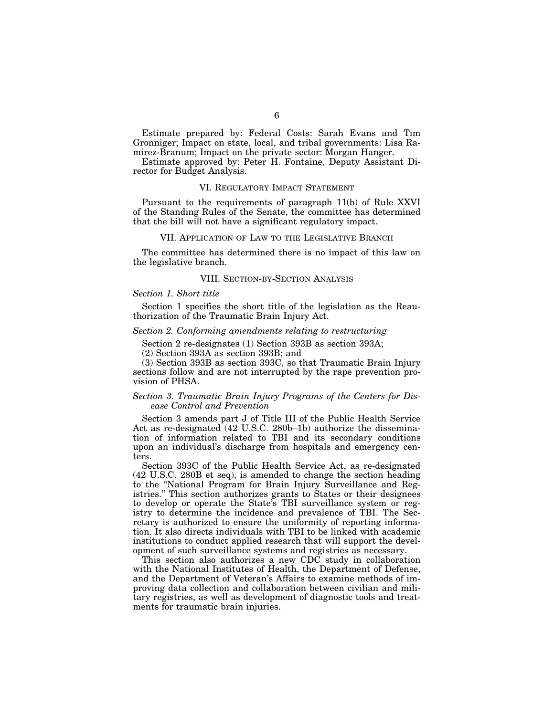Estimate prepared by: Federal Costs: Sarah Evans and Tim Gronniger; Impact on state, local, and tribal governments: Lisa Ramirez-Branum; Impact on the private sector: Morgan Hanger.

Estimate approved by: Peter H. Fontaine, Deputy Assistant Director for Budget Analysis.

## VI. REGULATORY IMPACT STATEMENT

Pursuant to the requirements of paragraph 11(b) of Rule XXVI of the Standing Rules of the Senate, the committee has determined that the bill will not have a significant regulatory impact.

## VII. APPLICATION OF LAW TO THE LEGISLATIVE BRANCH

The committee has determined there is no impact of this law on the legislative branch.

### VIII. SECTION-BY-SECTION ANALYSIS

### *Section 1. Short title*

Section 1 specifies the short title of the legislation as the Reauthorization of the Traumatic Brain Injury Act.

## *Section 2. Conforming amendments relating to restructuring*

Section 2 re-designates (1) Section 393B as section 393A;

(2) Section 393A as section 393B; and

(3) Section 393B as section 393C, so that Traumatic Brain Injury sections follow and are not interrupted by the rape prevention provision of PHSA.

## *Section 3. Traumatic Brain Injury Programs of the Centers for Disease Control and Prevention*

Section 3 amends part J of Title III of the Public Health Service Act as re-designated (42 U.S.C. 280b–1b) authorize the dissemination of information related to TBI and its secondary conditions upon an individual's discharge from hospitals and emergency centers.

Section 393C of the Public Health Service Act, as re-designated (42 U.S.C. 280B et seq), is amended to change the section heading to the ''National Program for Brain Injury Surveillance and Registries.'' This section authorizes grants to States or their designees to develop or operate the State's TBI surveillance system or registry to determine the incidence and prevalence of TBI. The Secretary is authorized to ensure the uniformity of reporting information. It also directs individuals with TBI to be linked with academic institutions to conduct applied research that will support the development of such surveillance systems and registries as necessary.

This section also authorizes a new CDC study in collaboration with the National Institutes of Health, the Department of Defense, and the Department of Veteran's Affairs to examine methods of improving data collection and collaboration between civilian and military registries, as well as development of diagnostic tools and treatments for traumatic brain injuries.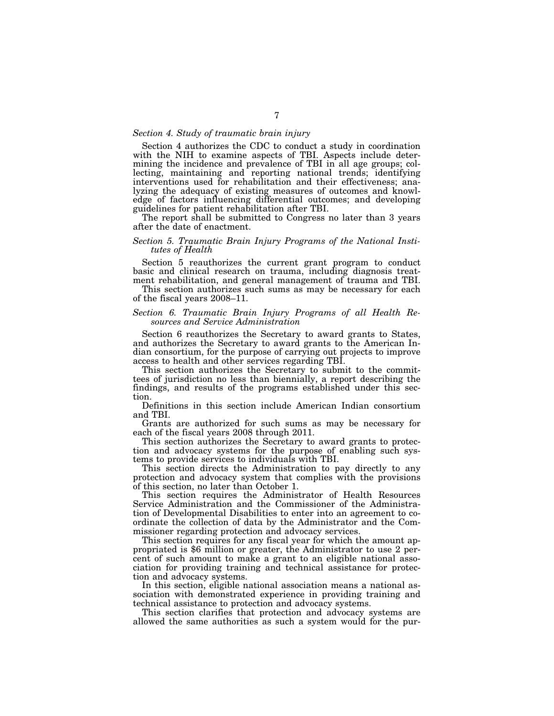## *Section 4. Study of traumatic brain injury*

Section 4 authorizes the CDC to conduct a study in coordination with the NIH to examine aspects of TBI. Aspects include determining the incidence and prevalence of TBI in all age groups; collecting, maintaining and reporting national trends; identifying interventions used for rehabilitation and their effectiveness; analyzing the adequacy of existing measures of outcomes and knowledge of factors influencing differential outcomes; and developing guidelines for patient rehabilitation after TBI.

The report shall be submitted to Congress no later than 3 years after the date of enactment.

## *Section 5. Traumatic Brain Injury Programs of the National Institutes of Health*

Section 5 reauthorizes the current grant program to conduct basic and clinical research on trauma, including diagnosis treatment rehabilitation, and general management of trauma and TBI.

This section authorizes such sums as may be necessary for each of the fiscal years 2008–11.

## *Section 6. Traumatic Brain Injury Programs of all Health Resources and Service Administration*

Section 6 reauthorizes the Secretary to award grants to States, and authorizes the Secretary to award grants to the American Indian consortium, for the purpose of carrying out projects to improve access to health and other services regarding TBI.

This section authorizes the Secretary to submit to the committees of jurisdiction no less than biennially, a report describing the findings, and results of the programs established under this section.

Definitions in this section include American Indian consortium and TBI.

Grants are authorized for such sums as may be necessary for each of the fiscal years 2008 through 2011.

This section authorizes the Secretary to award grants to protection and advocacy systems for the purpose of enabling such systems to provide services to individuals with TBI.

This section directs the Administration to pay directly to any protection and advocacy system that complies with the provisions of this section, no later than October 1.

This section requires the Administrator of Health Resources Service Administration and the Commissioner of the Administration of Developmental Disabilities to enter into an agreement to coordinate the collection of data by the Administrator and the Commissioner regarding protection and advocacy services.

This section requires for any fiscal year for which the amount appropriated is \$6 million or greater, the Administrator to use 2 percent of such amount to make a grant to an eligible national association for providing training and technical assistance for protection and advocacy systems.

In this section, eligible national association means a national association with demonstrated experience in providing training and technical assistance to protection and advocacy systems.

This section clarifies that protection and advocacy systems are allowed the same authorities as such a system would for the pur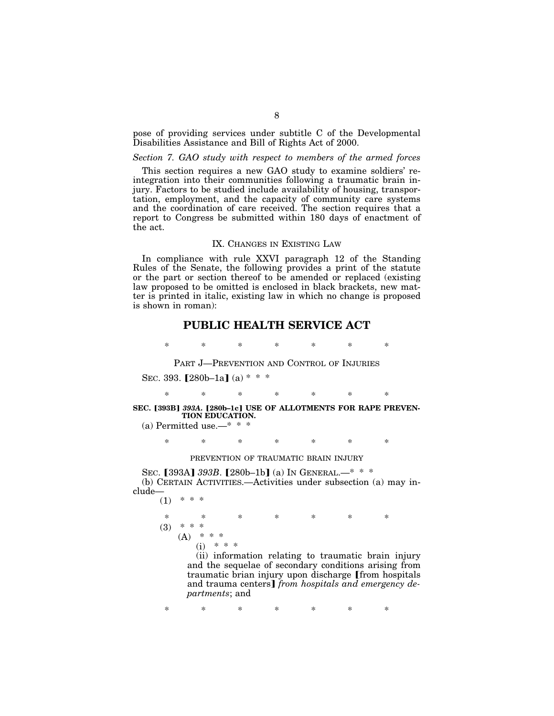pose of providing services under subtitle C of the Developmental Disabilities Assistance and Bill of Rights Act of 2000.

## *Section 7. GAO study with respect to members of the armed forces*

This section requires a new GAO study to examine soldiers' reintegration into their communities following a traumatic brain injury. Factors to be studied include availability of housing, transportation, employment, and the capacity of community care systems and the coordination of care received. The section requires that a report to Congress be submitted within 180 days of enactment of the act.

## IX. CHANGES IN EXISTING LAW

In compliance with rule XXVI paragraph 12 of the Standing Rules of the Senate, the following provides a print of the statute or the part or section thereof to be amended or replaced (existing law proposed to be omitted is enclosed in black brackets, new matter is printed in italic, existing law in which no change is proposed is shown in roman):

## **PUBLIC HEALTH SERVICE ACT**

\* \* \* \* \* \* \*

## PART J—PREVENTION AND CONTROL OF INJURIES

SEC. 393.  $[280b-1a]$  (a) \* \* \*

\* \* \* \* \* \* \*

## SEC. [393B] 393A. [280b-1c] USE OF ALLOTMENTS FOR RAPE PREVEN-**TION EDUCATION.**

(a) Permitted use.— $* * *$ 

\* \* \* \* \* \* \*

## PREVENTION OF TRAUMATIC BRAIN INJURY

SEC. [393A] 393B. [280b–1b] (a) IN GENERAL.—\* \* \* (b) CERTAIN ACTIVITIES.—Activities under subsection (a) may include—  $(1)$  \*

\* \* \* \* \* \* \*  $(3)$  \* \* \*  $(A)$  \* \* \*  $(i)$ 

> (ii) information relating to traumatic brain injury and the sequelae of secondary conditions arising from traumatic brian injury upon discharge from hospitals and trauma centers] *from hospitals and emergency departments*; and

\* \* \* \* \* \* \*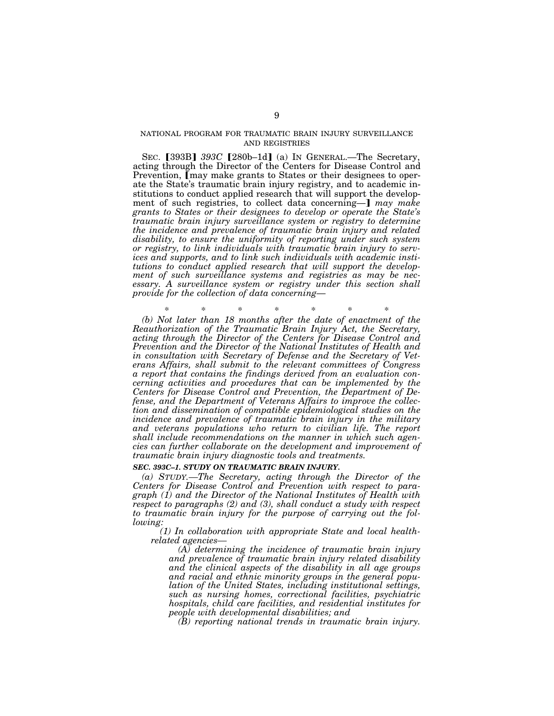## NATIONAL PROGRAM FOR TRAUMATIC BRAIN INJURY SURVEILLANCE AND REGISTRIES

SEC. [393B] 393C [280b–1d] (a) IN GENERAL.—The Secretary, acting through the Director of the Centers for Disease Control and Prevention, [may make grants to States or their designees to operate the State's traumatic brain injury registry, and to academic institutions to conduct applied research that will support the development of such registries, to collect data concerning—] may make *grants to States or their designees to develop or operate the State's traumatic brain injury surveillance system or registry to determine the incidence and prevalence of traumatic brain injury and related disability, to ensure the uniformity of reporting under such system or registry, to link individuals with traumatic brain injury to services and supports, and to link such individuals with academic institutions to conduct applied research that will support the development of such surveillance systems and registries as may be necessary. A surveillance system or registry under this section shall provide for the collection of data concerning*—

\* \* \* \* \* \* \* *(b) Not later than 18 months after the date of enactment of the Reauthorization of the Traumatic Brain Injury Act, the Secretary, acting through the Director of the Centers for Disease Control and Prevention and the Director of the National Institutes of Health and in consultation with Secretary of Defense and the Secretary of Veterans Affairs, shall submit to the relevant committees of Congress a report that contains the findings derived from an evaluation concerning activities and procedures that can be implemented by the Centers for Disease Control and Prevention, the Department of Defense, and the Department of Veterans Affairs to improve the collection and dissemination of compatible epidemiological studies on the incidence and prevalence of traumatic brain injury in the military and veterans populations who return to civilian life. The report shall include recommendations on the manner in which such agencies can further collaborate on the development and improvement of traumatic brain injury diagnostic tools and treatments.* 

#### *SEC. 393C–1. STUDY ON TRAUMATIC BRAIN INJURY.*

*(a) STUDY.—The Secretary, acting through the Director of the Centers for Disease Control and Prevention with respect to paragraph (1) and the Director of the National Institutes of Health with respect to paragraphs (2) and (3), shall conduct a study with respect to traumatic brain injury for the purpose of carrying out the following:* 

*(1) In collaboration with appropriate State and local healthrelated agencies—*

*(A) determining the incidence of traumatic brain injury and prevalence of traumatic brain injury related disability and the clinical aspects of the disability in all age groups and racial and ethnic minority groups in the general population of the United States, including institutional settings, such as nursing homes, correctional facilities, psychiatric hospitals, child care facilities, and residential institutes for people with developmental disabilities; and* 

*(B) reporting national trends in traumatic brain injury.*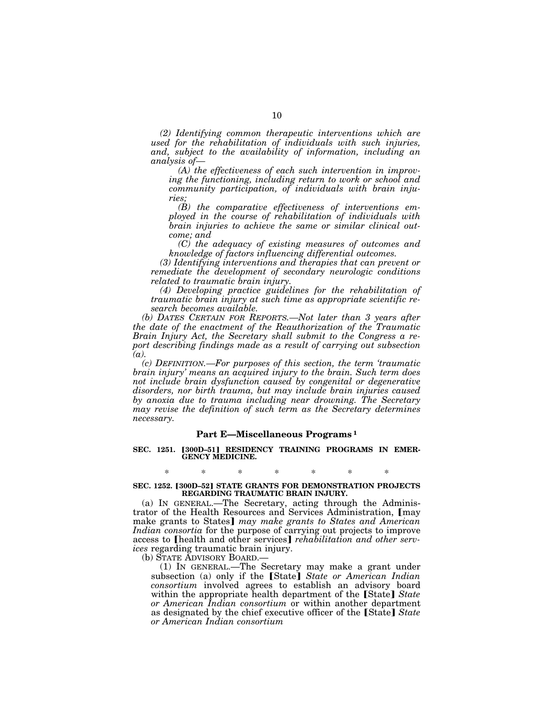*(2) Identifying common therapeutic interventions which are used for the rehabilitation of individuals with such injuries, and, subject to the availability of information, including an analysis of—*

*(A) the effectiveness of each such intervention in improving the functioning, including return to work or school and community participation, of individuals with brain injuries;* 

*(B) the comparative effectiveness of interventions employed in the course of rehabilitation of individuals with brain injuries to achieve the same or similar clinical outcome; and* 

*(C) the adequacy of existing measures of outcomes and knowledge of factors influencing differential outcomes.* 

*(3) Identifying interventions and therapies that can prevent or remediate the development of secondary neurologic conditions related to traumatic brain injury.* 

*(4) Developing practice guidelines for the rehabilitation of traumatic brain injury at such time as appropriate scientific research becomes available.* 

*(b) DATES CERTAIN FOR REPORTS.—Not later than 3 years after the date of the enactment of the Reauthorization of the Traumatic Brain Injury Act, the Secretary shall submit to the Congress a report describing findings made as a result of carrying out subsection (a).* 

*(c) DEFINITION.—For purposes of this section, the term 'traumatic brain injury' means an acquired injury to the brain. Such term does not include brain dysfunction caused by congenital or degenerative disorders, nor birth trauma, but may include brain injuries caused by anoxia due to trauma including near drowning. The Secretary may revise the definition of such term as the Secretary determines necessary.* 

### **Part E—Miscellaneous Programs 1**

SEC. 1251. [300D-51] RESIDENCY TRAINING PROGRAMS IN EMER-**GENCY MEDICINE.** 

## \* \* \* \* \* \* \* **SEC. 1252. [300D-52] STATE GRANTS FOR DEMONSTRATION PROJECTS REGARDING TRAUMATIC BRAIN INJURY.**

(a) IN GENERAL.—The Secretary, acting through the Administrator of the Health Resources and Services Administration, [may make grants to States] may make grants to States and American *Indian consortia* for the purpose of carrying out projects to improve access to [health and other services] *rehabilitation and other services* regarding traumatic brain injury.

(b) STATE ADVISORY BOARD.—

(1) IN GENERAL.—The Secretary may make a grant under subsection (a) only if the [State] State or American Indian *consortium* involved agrees to establish an advisory board within the appropriate health department of the **[State]** State *or American Indian consortium* or within another department as designated by the chief executive officer of the **State** *State or American Indian consortium*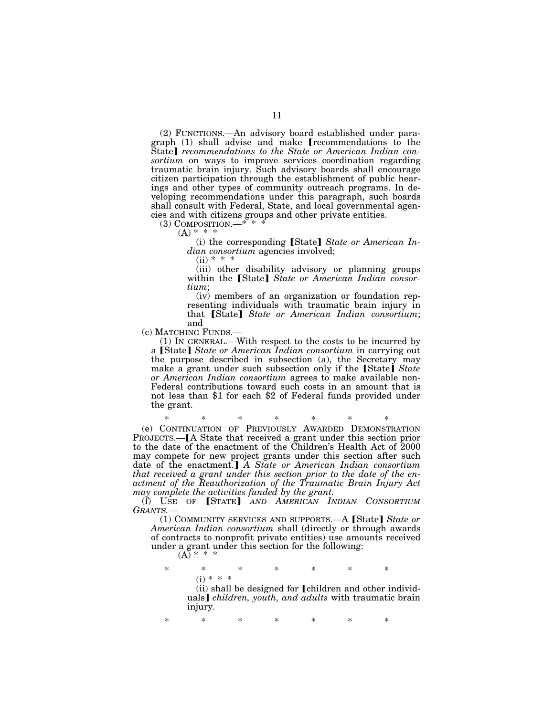(2) FUNCTIONS.—An advisory board established under paragraph (1) shall advise and make *recommendations* to the State] *recommendations to the State or American Indian consortium* on ways to improve services coordination regarding traumatic brain injury. Such advisory boards shall encourage citizen participation through the establishment of public hearings and other types of community outreach programs. In developing recommendations under this paragraph, such boards shall consult with Federal, State, and local governmental agencies and with citizens groups and other private entities.

 $(3)$  COMPOSITION.—\*  $(A) * * * *$ 

(i) the corresponding [State] State or American In*dian consortium* agencies involved;

 $(ii) * *$ 

(iii) other disability advisory or planning groups within the [State] State or American Indian consor*tium*;

(iv) members of an organization or foundation representing individuals with traumatic brain injury in that **[State]** State or American Indian consortium;

and<br>(c) MATCHING FUNDS.-

 $(1)$  In GENERAL.—With respect to the costs to be incurred by a **[State]** *State or American Indian consortium* in carrying out the purpose described in subsection (a), the Secretary may make a grant under such subsection only if the [State] *State or American Indian consortium* agrees to make available non-Federal contributions toward such costs in an amount that is not less than \$1 for each \$2 of Federal funds provided under the grant.

\* \* \* \* \* \* \* (e) CONTINUATION OF PREVIOUSLY AWARDED DEMONSTRATION PROJECTS.—[A State that received a grant under this section prior to the date of the enactment of the Children's Health Act of 2000 may compete for new project grants under this section after such date of the enactment.] A State or American Indian consortium *that received a grant under this section prior to the date of the enactment of the Reauthorization of the Traumatic Brain Injury Act may complete the activities funded by the grant.* 

(f) USE OF [STATE] AND AMERICAN INDIAN CONSORTIUM *GRANTS.*—

(1) COMMUNITY SERVICES AND SUPPORTS.—A [State] State or *American Indian consortium* shall (directly or through awards of contracts to nonprofit private entities) use amounts received under a grant under this section for the following:

 $(A) * * * *$ 

\* \* \* \* \* \* \*  $(i) * * *$ 

(ii) shall be designed for [children and other individuals¿ *children, youth, and adults* with traumatic brain injury.

\* \* \* \* \* \* \*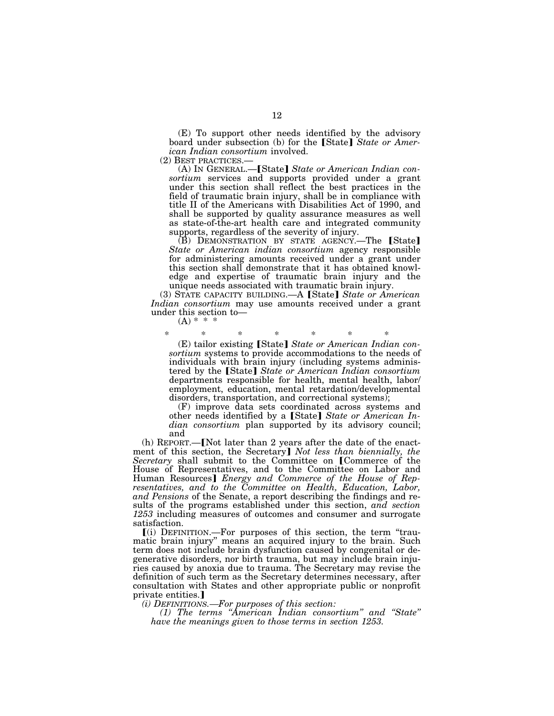(E) To support other needs identified by the advisory board under subsection (b) for the [State] *State or American Indian consortium* involved.<br>(2) BEST PRACTICES.—

(A) IN GENERAL.—**[State]** State or American Indian con*sortium* services and supports provided under a grant under this section shall reflect the best practices in the field of traumatic brain injury, shall be in compliance with title II of the Americans with Disabilities Act of 1990, and shall be supported by quality assurance measures as well as state-of-the-art health care and integrated community supports, regardless of the severity of injury.

 $(B)$  DEMONSTRATION BY STATE AGENCY.—The [State] *State or American indian consortium* agency responsible for administering amounts received under a grant under this section shall demonstrate that it has obtained knowledge and expertise of traumatic brain injury and the unique needs associated with traumatic brain injury.

(3) STATE CAPACITY BUILDING.—A [State] State or American *Indian consortium* may use amounts received under a grant under this section to-<br>(A)  $*$   $*$   $*$ 

\* \* \* \* \* \* \* (E) tailor existing [State] State or American Indian con*sortium* systems to provide accommodations to the needs of individuals with brain injury (including systems administered by the [State] State or American Indian consortium departments responsible for health, mental health, labor/ employment, education, mental retardation/developmental disorders, transportation, and correctional systems);

(F) improve data sets coordinated across systems and other needs identified by a [State] State or American In*dian consortium* plan supported by its advisory council; and

 $(h)$  REPORT.—[Not later than 2 years after the date of the enactment of this section, the Secretary] *Not less than biennially, the Secretary* shall submit to the Committee on [Commerce of the House of Representatives, and to the Committee on Labor and Human Resources¿ *Energy and Commerce of the House of Representatives, and to the Committee on Health, Education, Labor, and Pensions* of the Senate, a report describing the findings and results of the programs established under this section, *and section 1253* including measures of outcomes and consumer and surrogate satisfaction.

 $\lceil$ (i) DEFINITION.—For purposes of this section, the term "traumatic brain injury'' means an acquired injury to the brain. Such term does not include brain dysfunction caused by congenital or degenerative disorders, nor birth trauma, but may include brain injuries caused by anoxia due to trauma. The Secretary may revise the definition of such term as the Secretary determines necessary, after consultation with States and other appropriate public or nonprofit private entities.]

*(i) DEFINITIONS.—For purposes of this section:* 

*(1) The terms ''American Indian consortium'' and ''State'' have the meanings given to those terms in section 1253.*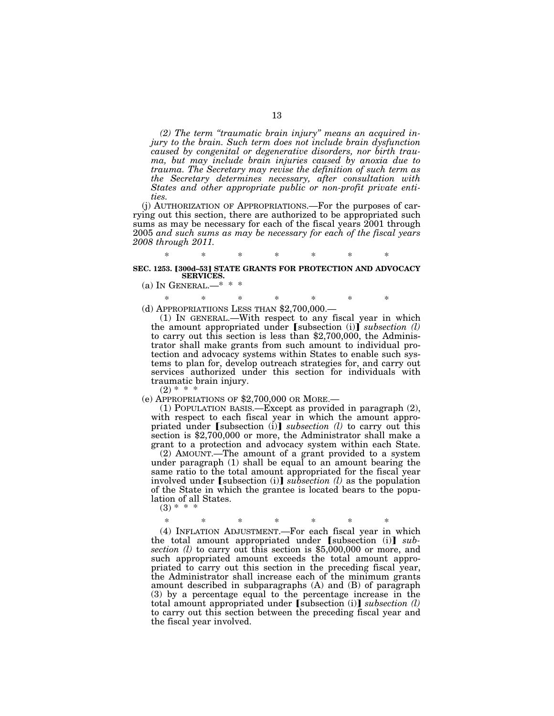*(2) The term ''traumatic brain injury'' means an acquired injury to the brain. Such term does not include brain dysfunction caused by congenital or degenerative disorders, nor birth trauma, but may include brain injuries caused by anoxia due to trauma. The Secretary may revise the definition of such term as the Secretary determines necessary, after consultation with States and other appropriate public or non-profit private entities.* 

(j) AUTHORIZATION OF APPROPRIATIONS.—For the purposes of carrying out this section, there are authorized to be appropriated such sums as may be necessary for each of the fiscal years 2001 through 2005 *and such sums as may be necessary for each of the fiscal years 2008 through 2011.* 

## \* \* \* \* \* \* \* **SEC. 1253. [300d-53] STATE GRANTS FOR PROTECTION AND ADVOCACY SERVICES.**

- (a) In GENERAL.— $*$  \*
- \* \* \* \* \* \* \* (d) APPROPRIATIIONS LESS THAN \$2,700,000.—

(1) IN GENERAL.—With respect to any fiscal year in which the amount appropriated under [subsection (i)] *subsection (l)* to carry out this section is less than \$2,700,000, the Administrator shall make grants from such amount to individual protection and advocacy systems within States to enable such systems to plan for, develop outreach strategies for, and carry out services authorized under this section for individuals with traumatic brain injury.

 $(2) * *$ 

(e) APPROPRIATIONS OF \$2,700,000 OR MORE.—

(1) POPULATION BASIS.—Except as provided in paragraph (2), with respect to each fiscal year in which the amount appropriated under  $[subsection (i)]$  *subsection (l)* to carry out this section is \$2,700,000 or more, the Administrator shall make a grant to a protection and advocacy system within each State.

(2) AMOUNT.—The amount of a grant provided to a system under paragraph  $(1)$  shall be equal to an amount bearing the same ratio to the total amount appropriated for the fiscal year involved under [subsection (i)]  $\overline{subsection}$  (*l*) as the population of the State in which the grantee is located bears to the population of all States.

 $(3) *$ 

\* \* \* \* \* \* \* (4) INFLATION ADJUSTMENT.—For each fiscal year in which the total amount appropriated under [subsection (i)]  $sub$ *section (l)* to carry out this section is \$5,000,000 or more, and such appropriated amount exceeds the total amount appropriated to carry out this section in the preceding fiscal year, the Administrator shall increase each of the minimum grants amount described in subparagraphs (A) and (B) of paragraph (3) by a percentage equal to the percentage increase in the total amount appropriated under  $[$ subsection (i) $]$  *subsection (l)* to carry out this section between the preceding fiscal year and the fiscal year involved.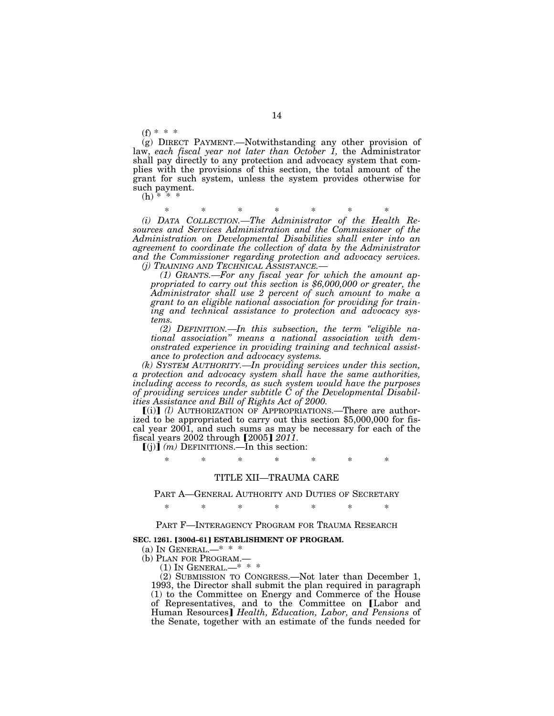$(f) * * * *$ 

(g) DIRECT PAYMENT.—Notwithstanding any other provision of law, *each fiscal year not later than October 1,* the Administrator shall pay directly to any protection and advocacy system that complies with the provisions of this section, the total amount of the grant for such system, unless the system provides otherwise for such payment.

 $(h) * * *$ 

\* \* \* \* \* \* \*

*(i) DATA COLLECTION.—The Administrator of the Health Resources and Services Administration and the Commissioner of the Administration on Developmental Disabilities shall enter into an agreement to coordinate the collection of data by the Administrator and the Commissioner regarding protection and advocacy services.* 

*(j) TRAINING AND TECHNICAL ASSISTANCE.— (1) GRANTS.—For any fiscal year for which the amount ap- propriated to carry out this section is \$6,000,000 or greater, the Administrator shall use 2 percent of such amount to make a grant to an eligible national association for providing for training and technical assistance to protection and advocacy systems.* 

*(2) DEFINITION.—In this subsection, the term ''eligible national association'' means a national association with demonstrated experience in providing training and technical assistance to protection and advocacy systems.* 

*(k) SYSTEM AUTHORITY.—In providing services under this section, a protection and advocacy system shall have the same authorities, including access to records, as such system would have the purposes of providing services under subtitle C of the Developmental Disabilities Assistance and Bill of Rights Act of 2000.* 

[(i)] (l) AUTHORIZATION OF APPROPRIATIONS.—There are authorized to be appropriated to carry out this section \$5,000,000 for fiscal year 2001, and such sums as may be necessary for each of the fiscal years 2002 through  $[2005]$  *2011*.<br> $[(j)]$  *(m)* DEFINITIONS.—In this section:

\* \* \* \* \* \* \*

### TITLE XII—TRAUMA CARE

PART A—GENERAL AUTHORITY AND DUTIES OF SECRETARY

\* \* \* \* \* \* \*

PART F—INTERAGENCY PROGRAM FOR TRAUMA RESEARCH

#### **SEC. 1261. [300d-61] ESTABLISHMENT OF PROGRAM.**

(a) In GENERAL.—\* \* \*

(b) PLAN FOR PROGRAM.—

 $(1)$  In GENERAL.—\* \* \*

(2) SUBMISSION TO CONGRESS.—Not later than December 1, 1993, the Director shall submit the plan required in paragraph (1) to the Committee on Energy and Commerce of the House of Representatives, and to the Committee on [Labor and Human Resources¿ *Health, Education, Labor, and Pensions* of the Senate, together with an estimate of the funds needed for